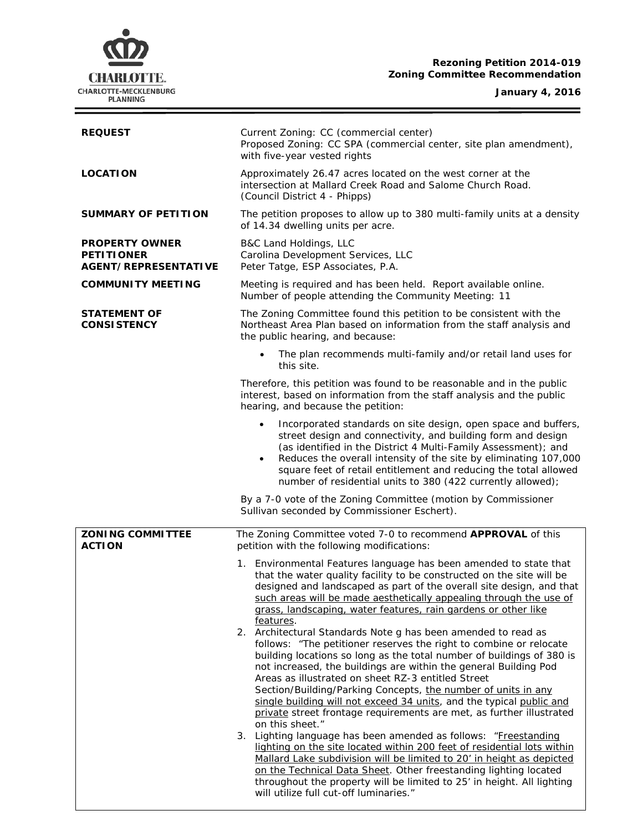## **Rezoning Petition 2014-019 Zoning Committee Recommendation**

#### **January 4, 2016**

 $\equiv$ 

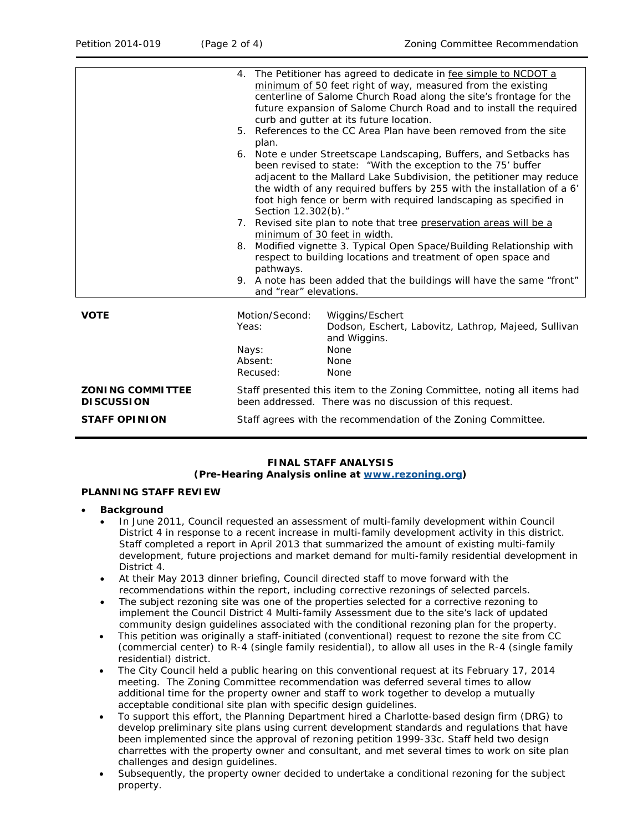|                                              | 4. The Petitioner has agreed to dedicate in fee simple to NCDOT a<br>minimum of 50 feet right of way, measured from the existing<br>centerline of Salome Church Road along the site's frontage for the<br>future expansion of Salome Church Road and to install the required<br>curb and gutter at its future location.<br>5. References to the CC Area Plan have been removed from the site |
|----------------------------------------------|----------------------------------------------------------------------------------------------------------------------------------------------------------------------------------------------------------------------------------------------------------------------------------------------------------------------------------------------------------------------------------------------|
|                                              | plan.<br>6. Note e under Streetscape Landscaping, Buffers, and Setbacks has<br>been revised to state: "With the exception to the 75' buffer<br>adjacent to the Mallard Lake Subdivision, the petitioner may reduce<br>the width of any required buffers by 255 with the installation of a 6'<br>foot high fence or berm with required landscaping as specified in                            |
|                                              | Section 12.302(b)."<br>7. Revised site plan to note that tree preservation areas will be a<br>minimum of 30 feet in width.<br>Modified vignette 3. Typical Open Space/Building Relationship with<br>8.<br>respect to building locations and treatment of open space and<br>pathways.<br>9. A note has been added that the buildings will have the same "front"<br>and "rear" elevations.     |
| <b>VOTE</b>                                  | Motion/Second:<br>Wiggins/Eschert<br>Dodson, Eschert, Labovitz, Lathrop, Majeed, Sullivan<br>Yeas:<br>and Wiggins.<br>None<br>Nays:<br>Absent:<br>None<br>Recused:<br>None                                                                                                                                                                                                                   |
| <b>ZONING COMMITTEE</b><br><b>DISCUSSION</b> | Staff presented this item to the Zoning Committee, noting all items had<br>been addressed. There was no discussion of this request.                                                                                                                                                                                                                                                          |
| <b>STAFF OPINION</b>                         | Staff agrees with the recommendation of the Zoning Committee.                                                                                                                                                                                                                                                                                                                                |

# **FINAL STAFF ANALYSIS**

## **(Pre-Hearing Analysis online at [www.rezoning.org\)](http://www.rezoning.org/)**

## **PLANNING STAFF REVIEW**

- **Background** 
	- In June 2011, Council requested an assessment of multi-family development within Council District 4 in response to a recent increase in multi-family development activity in this district. Staff completed a report in April 2013 that summarized the amount of existing multi-family development, future projections and market demand for multi-family residential development in District 4.
	- At their May 2013 dinner briefing, Council directed staff to move forward with the recommendations within the report, including corrective rezonings of selected parcels.
	- The subject rezoning site was one of the properties selected for a corrective rezoning to implement the Council District 4 Multi-family Assessment due to the site's lack of updated community design guidelines associated with the conditional rezoning plan for the property.
	- This petition was originally a staff-initiated (conventional) request to rezone the site from CC (commercial center) to R-4 (single family residential), to allow all uses in the R-4 (single family residential) district.
	- The City Council held a public hearing on this conventional request at its February 17, 2014 meeting. The Zoning Committee recommendation was deferred several times to allow additional time for the property owner and staff to work together to develop a mutually acceptable conditional site plan with specific design guidelines.
	- To support this effort, the Planning Department hired a Charlotte-based design firm (DRG) to develop preliminary site plans using current development standards and regulations that have been implemented since the approval of rezoning petition 1999-33c. Staff held two design charrettes with the property owner and consultant, and met several times to work on site plan challenges and design guidelines.
	- Subsequently, the property owner decided to undertake a conditional rezoning for the subject property.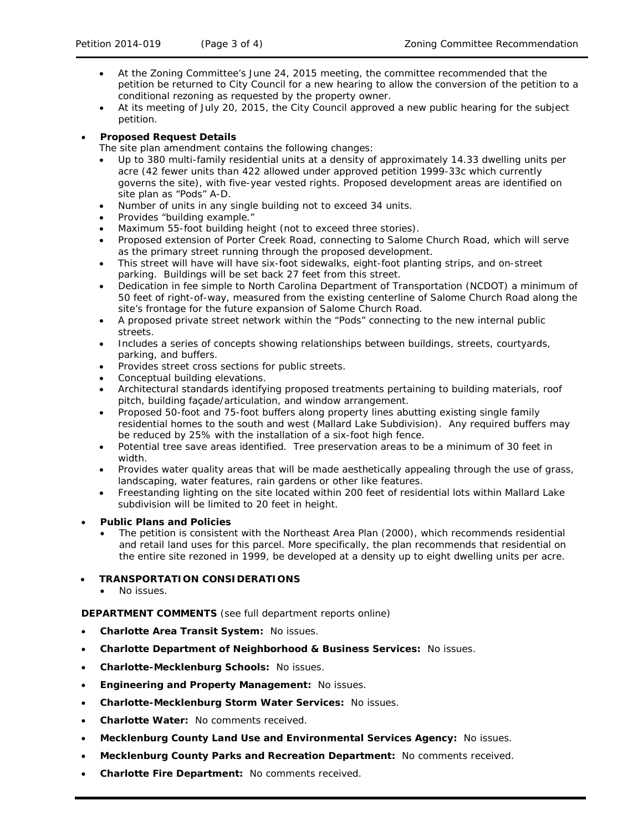- At the Zoning Committee's June 24, 2015 meeting, the committee recommended that the petition be returned to City Council for a new hearing to allow the conversion of the petition to a conditional rezoning as requested by the property owner.
- At its meeting of July 20, 2015, the City Council approved a new public hearing for the subject petition.

## • **Proposed Request Details**

The site plan amendment contains the following changes:

- Up to 380 multi-family residential units at a density of approximately 14.33 dwelling units per acre (42 fewer units than 422 allowed under approved petition 1999-33c which currently governs the site), with five-year vested rights. Proposed development areas are identified on site plan as "Pods" A-D.
- Number of units in any single building not to exceed 34 units.
- Provides "building example."
- Maximum 55-foot building height (not to exceed three stories).
- Proposed extension of Porter Creek Road, connecting to Salome Church Road, which will serve as the primary street running through the proposed development.
- This street will have will have six-foot sidewalks, eight-foot planting strips, and on-street parking. Buildings will be set back 27 feet from this street.
- Dedication in fee simple to North Carolina Department of Transportation (NCDOT) a minimum of 50 feet of right-of-way, measured from the existing centerline of Salome Church Road along the site's frontage for the future expansion of Salome Church Road.
- A proposed private street network within the "Pods" connecting to the new internal public streets.
- Includes a series of concepts showing relationships between buildings, streets, courtyards, parking, and buffers.
- Provides street cross sections for public streets.
- Conceptual building elevations.
- Architectural standards identifying proposed treatments pertaining to building materials, roof pitch, building façade/articulation, and window arrangement.
- Proposed 50-foot and 75-foot buffers along property lines abutting existing single family residential homes to the south and west (Mallard Lake Subdivision). Any required buffers may be reduced by 25% with the installation of a six-foot high fence.
- Potential tree save areas identified. Tree preservation areas to be a minimum of 30 feet in width.
- Provides water quality areas that will be made aesthetically appealing through the use of grass, landscaping, water features, rain gardens or other like features.
- Freestanding lighting on the site located within 200 feet of residential lots within Mallard Lake subdivision will be limited to 20 feet in height.

## • **Public Plans and Policies**

• The petition is consistent with the *Northeast Area Plan* (2000), which recommends residential and retail land uses for this parcel. More specifically, the plan recommends that residential on the entire site rezoned in 1999, be developed at a density up to eight dwelling units per acre.

## • **TRANSPORTATION CONSIDERATIONS**

No issues.

**DEPARTMENT COMMENTS** (see full department reports online)

- **Charlotte Area Transit System:** No issues.
- **Charlotte Department of Neighborhood & Business Services:** No issues.
- **Charlotte-Mecklenburg Schools:** No issues.
- **Engineering and Property Management:** No issues.
- **Charlotte-Mecklenburg Storm Water Services:** No issues.
- **Charlotte Water:** No comments received.
- **Mecklenburg County Land Use and Environmental Services Agency:** No issues.
- **Mecklenburg County Parks and Recreation Department:** No comments received.
- **Charlotte Fire Department:** No comments received.